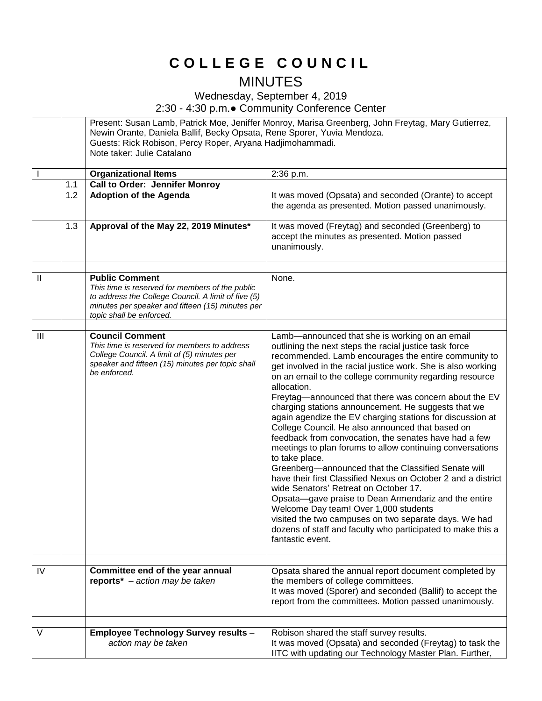## **C O L L E G E C O U N C I L**

## MINUTES

Wednesday, September 4, 2019

2:30 - 4:30 p.m.● Community Conference Center

|                |     | Present: Susan Lamb, Patrick Moe, Jeniffer Monroy, Marisa Greenberg, John Freytag, Mary Gutierrez,<br>Newin Orante, Daniela Ballif, Becky Opsata, Rene Sporer, Yuvia Mendoza.<br>Guests: Rick Robison, Percy Roper, Aryana Hadjimohammadi.<br>Note taker: Julie Catalano |                                                                                                                                                                                                                                                                                                                                                                                                                                                                                                                                                                                                                                                                                                                                                                                                                                                                                                                                                                                                                                                                                                   |
|----------------|-----|--------------------------------------------------------------------------------------------------------------------------------------------------------------------------------------------------------------------------------------------------------------------------|---------------------------------------------------------------------------------------------------------------------------------------------------------------------------------------------------------------------------------------------------------------------------------------------------------------------------------------------------------------------------------------------------------------------------------------------------------------------------------------------------------------------------------------------------------------------------------------------------------------------------------------------------------------------------------------------------------------------------------------------------------------------------------------------------------------------------------------------------------------------------------------------------------------------------------------------------------------------------------------------------------------------------------------------------------------------------------------------------|
|                |     | <b>Organizational Items</b>                                                                                                                                                                                                                                              | 2:36 p.m.                                                                                                                                                                                                                                                                                                                                                                                                                                                                                                                                                                                                                                                                                                                                                                                                                                                                                                                                                                                                                                                                                         |
|                | 1.1 | <b>Call to Order: Jennifer Monroy</b>                                                                                                                                                                                                                                    |                                                                                                                                                                                                                                                                                                                                                                                                                                                                                                                                                                                                                                                                                                                                                                                                                                                                                                                                                                                                                                                                                                   |
|                | 1.2 | <b>Adoption of the Agenda</b>                                                                                                                                                                                                                                            | It was moved (Opsata) and seconded (Orante) to accept<br>the agenda as presented. Motion passed unanimously.                                                                                                                                                                                                                                                                                                                                                                                                                                                                                                                                                                                                                                                                                                                                                                                                                                                                                                                                                                                      |
|                | 1.3 | Approval of the May 22, 2019 Minutes*                                                                                                                                                                                                                                    | It was moved (Freytag) and seconded (Greenberg) to<br>accept the minutes as presented. Motion passed<br>unanimously.                                                                                                                                                                                                                                                                                                                                                                                                                                                                                                                                                                                                                                                                                                                                                                                                                                                                                                                                                                              |
| $\mathbf{  }$  |     | <b>Public Comment</b><br>This time is reserved for members of the public<br>to address the College Council. A limit of five (5)<br>minutes per speaker and fifteen (15) minutes per<br>topic shall be enforced.                                                          | None.                                                                                                                                                                                                                                                                                                                                                                                                                                                                                                                                                                                                                                                                                                                                                                                                                                                                                                                                                                                                                                                                                             |
| $\mathbf{III}$ |     | <b>Council Comment</b><br>This time is reserved for members to address<br>College Council. A limit of (5) minutes per<br>speaker and fifteen (15) minutes per topic shall<br>be enforced.                                                                                | Lamb-announced that she is working on an email<br>outlining the next steps the racial justice task force<br>recommended. Lamb encourages the entire community to<br>get involved in the racial justice work. She is also working<br>on an email to the college community regarding resource<br>allocation.<br>Freytag-announced that there was concern about the EV<br>charging stations announcement. He suggests that we<br>again agendize the EV charging stations for discussion at<br>College Council. He also announced that based on<br>feedback from convocation, the senates have had a few<br>meetings to plan forums to allow continuing conversations<br>to take place.<br>Greenberg-announced that the Classified Senate will<br>have their first Classified Nexus on October 2 and a district<br>wide Senators' Retreat on October 17.<br>Opsata-gave praise to Dean Armendariz and the entire<br>Welcome Day team! Over 1,000 students<br>visited the two campuses on two separate days. We had<br>dozens of staff and faculty who participated to make this a<br>fantastic event. |
| IV             |     | Committee end of the year annual<br>reports* $-$ action may be taken                                                                                                                                                                                                     | Opsata shared the annual report document completed by<br>the members of college committees.<br>It was moved (Sporer) and seconded (Ballif) to accept the<br>report from the committees. Motion passed unanimously.                                                                                                                                                                                                                                                                                                                                                                                                                                                                                                                                                                                                                                                                                                                                                                                                                                                                                |
|                |     |                                                                                                                                                                                                                                                                          |                                                                                                                                                                                                                                                                                                                                                                                                                                                                                                                                                                                                                                                                                                                                                                                                                                                                                                                                                                                                                                                                                                   |
| V              |     | <b>Employee Technology Survey results -</b><br>action may be taken                                                                                                                                                                                                       | Robison shared the staff survey results.<br>It was moved (Opsata) and seconded (Freytag) to task the<br>IITC with updating our Technology Master Plan. Further,                                                                                                                                                                                                                                                                                                                                                                                                                                                                                                                                                                                                                                                                                                                                                                                                                                                                                                                                   |